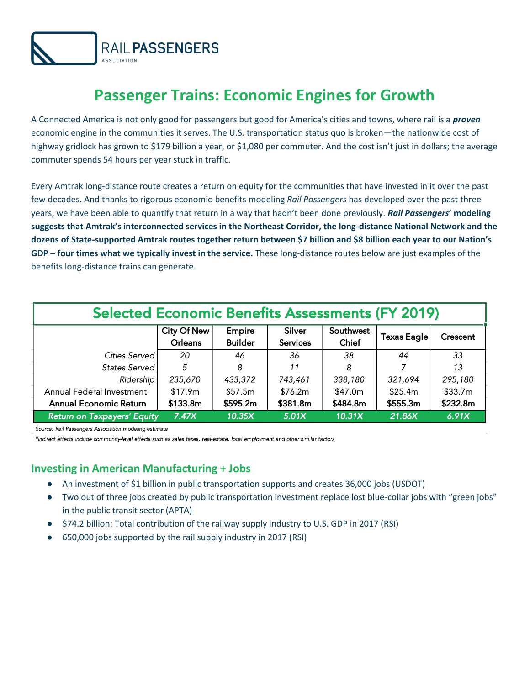

## **Passenger Trains: Economic Engines for Growth**

A Connected America is not only good for passengers but good for America's cities and towns, where rail is a *proven*  economic engine in the communities it serves. The U.S. transportation status quo is broken—the nationwide cost of highway gridlock has grown to \$179 billion a year, or \$1,080 per commuter. And the cost isn't just in dollars; the average commuter spends 54 hours per year stuck in traffic.

Every Amtrak long-distance route creates a return on equity for the communities that have invested in it over the past few decades. And thanks to rigorous economic-benefits modeling *Rail Passengers* has developed over the past three years, we have been able to quantify that return in a way that hadn't been done previously. *Rail Passengers***' modeling suggests that Amtrak's interconnected services in the Northeast Corridor, the long-distance National Network and the dozens of State-supported Amtrak routes together return between \$7 billion and \$8 billion each year to our Nation's GDP – four times what we typically invest in the service.** These long-distance routes below are just examples of the benefits long-distance trains can generate.

| <b>Selected Economic Benefits Assessments (FY 2019)</b> |                        |                          |                           |                    |                    |          |
|---------------------------------------------------------|------------------------|--------------------------|---------------------------|--------------------|--------------------|----------|
|                                                         | City Of New<br>Orleans | Empire<br><b>Builder</b> | Silver<br><b>Services</b> | Southwest<br>Chief | <b>Texas Eagle</b> | Crescent |
| Cities Served I                                         | 20                     | 46                       | 36                        | 38                 | 44                 | 33       |
| States Served                                           | 5                      | 8                        | 11                        | 8                  |                    | 13       |
| Ridership                                               | 235,670                | 433,372                  | 743,461                   | 338,180            | 321,694            | 295,180  |
| Annual Federal Investment                               | \$17.9m                | \$57.5m                  | \$76.2m                   | \$47.0m            | \$25.4m            | \$33.7m  |
| <b>Annual Economic Return</b>                           | \$133.8m               | \$595.2m                 | \$381.8m                  | \$484.8m           | \$555.3m           | \$232.8m |
| <b>Return on Taxpayers' Equity</b>                      | 7.47X                  | 10.35X                   | 5.01X                     | 10.31X             | 21.86X             | 6.91X    |

Source: Rail Passengers Association modeling estimate

\*Indirect effects include community-level effects such as sales taxes, real-estate, local employment and other similar factors

## **Investing in American Manufacturing + Jobs**

- An investment of \$1 billion in public transportation supports and creates 36,000 jobs (USDOT)
- Two out of three jobs created by public transportation investment replace lost blue-collar jobs with "green jobs" in the public transit sector (APTA)
- \$74.2 billion: Total contribution of the railway supply industry to U.S. GDP in 2017 (RSI)
- 650,000 jobs supported by the rail supply industry in 2017 (RSI)